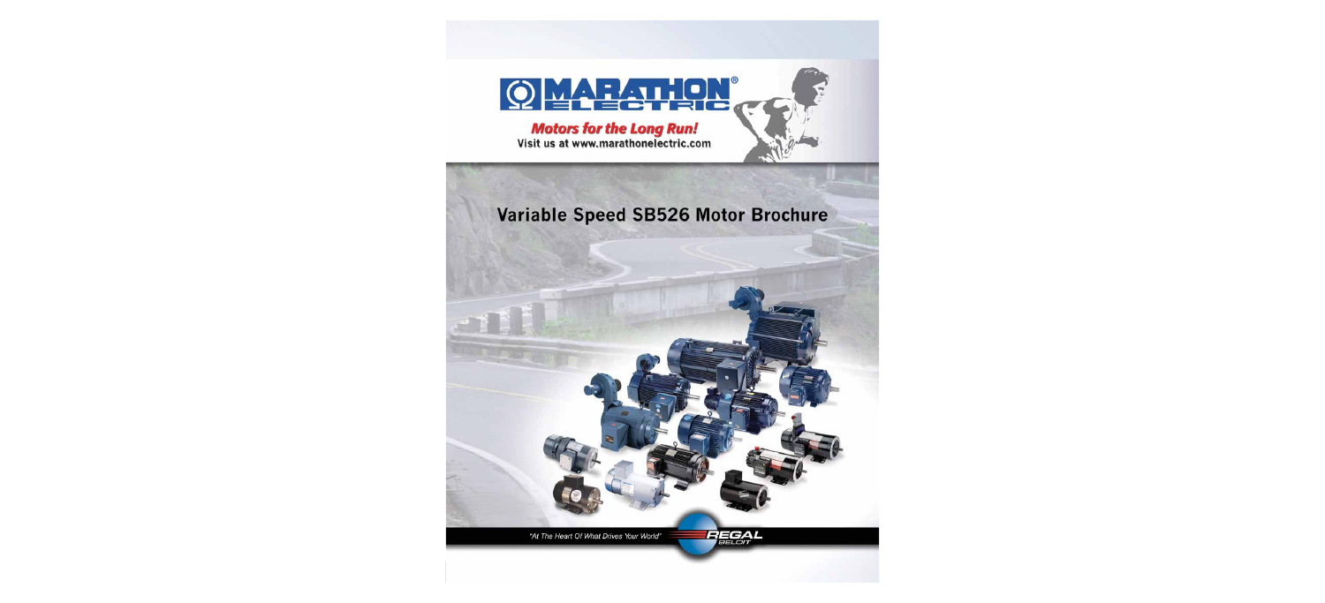

### Variable Speed SB526 Motor Brochure

"At The Heart Of What Drives Your World"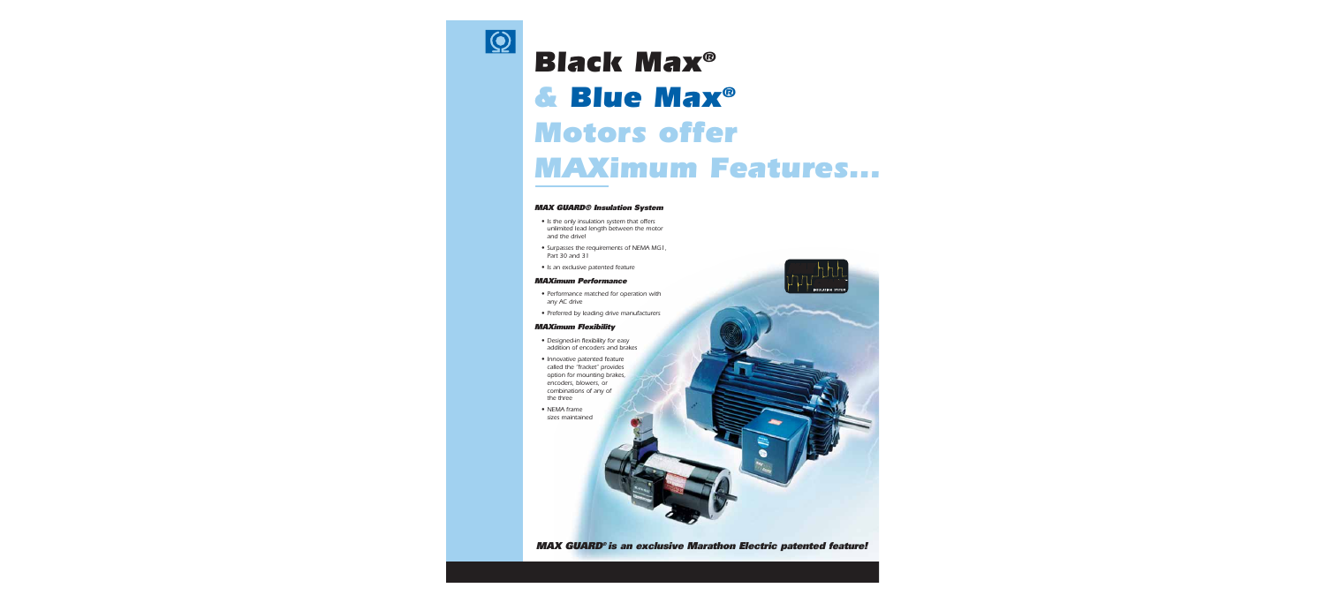

# *Black Max® & Blue Max® Motors offer MAXimum Features...*

#### **MAX GUARD® Insulation System**

- **•** Is the only insulation system that offers unlimited lead length between the motor and the drive!
- **•** Surpasses the requirements of NEMA MG1, Part 30 and 31
- **•** Is an exclusive patented feature

#### **MAXimum Performance**

- **•** Performance matched for operation with any AC drive
- **•** Preferred by leading drive manufacturers

#### **MAXimum Flexibility**

- **•** Designed-in flexibility for easy addition of encoders and brakes
- **•** Innovative patented feature called the "fracket" provides option for mounting brakes, encoders, blowers, or combinations of any of the three
- **•** NEMA frame sizes maintained



**MAX GUARD® is an exclusive Marathon Electric patented feature!**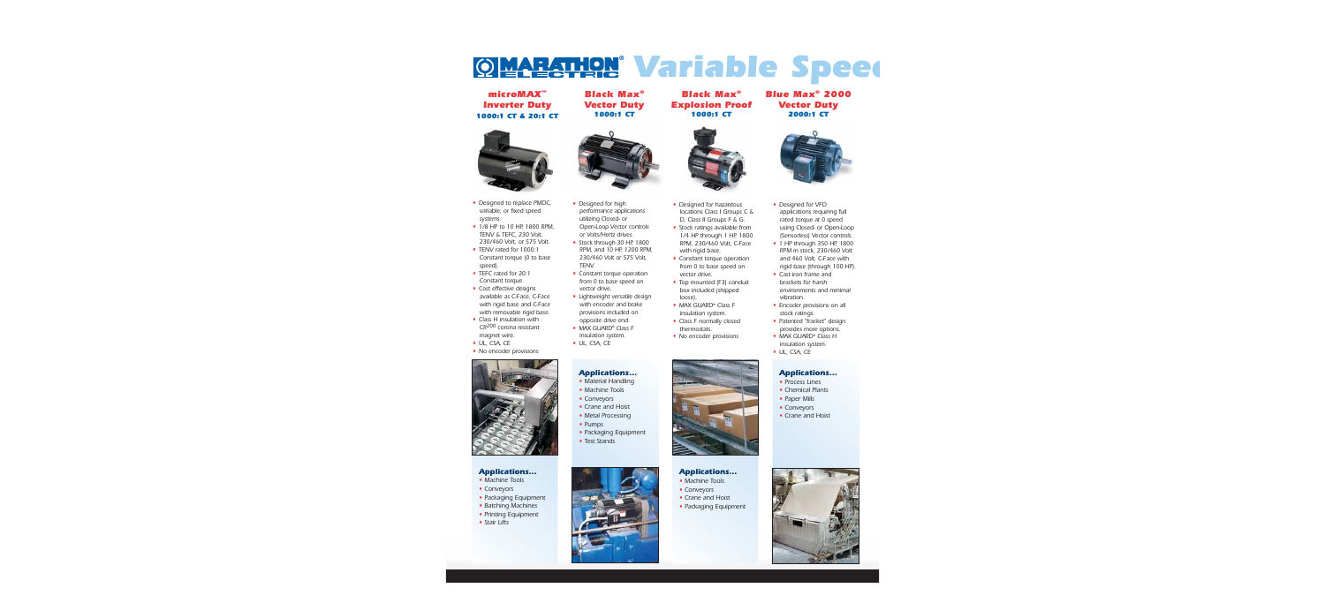## *Variable Speed* **®**

*microMAX™ Inverter Duty 1000:1 CT & 20:1 CT*



- Designed to replace PMDC, variable, or fixed speed systems.
- 1/8 HP to 10 HP, 1800 RPM. TENV & TEFC, 230 Volt, 230/460 Volt, or 575 Volt.
- TENV rated for 1000:1 Constant torque (0 to base speed).
- TEFC rated for 20:1 Constant torque.
- Cost effective designs available as C-Face, C-Face with rigid base and C-Face with removable rigid base.
- Class H insulation with CR200 corona resistant magnet wire.
- UL, CSA, CE
- No encoder provisions



#### *Applications...*

- Machine Tools
- Conveyors
- Packaging Equipment
- Batching Machines
- Printing Equipment
- Stair Lifts

*Black Max® Vector Duty 1000:1 CT*

- Designed for high performance applications utilizing Closed- or Open-Loop Vector controls or Volts/Hertz drives.
- Stock through 30 HP, 1800 RPM, and 10 HP, 1200 RPM, 230/460 Volt or 575 Volt, TENV.
- Constant torque operation from 0 to base speed on vector drive.
- Lightweight versatile design with encoder and brake provisions included on opposite drive end.
- MAX GUARD® Class F insulation system.
- UL, CSA, CE

#### *Applications...*

- Material Handling
- Machine Tools
- Conveyors
- Crane and Hoist
- Metal Processing
- Pumps
- Packaging Equipment
- Test Stands



*Black Max® Explosion Proof 1000:1 CT* 



- Designed for hazardous locations Class I Groups C & D, Class II Groups F & G.
- **Stock ratings available from** 1/4 HP through 1 HP, 1800 RPM, 230/460 Volt, C-Face with rigid base.
- **Constant torque operation** from 0 to base speed on vector drive.
- Top mounted (F3) conduit box included (shipped loose).
- MAX GUARD® Class F insulation system.
- Class F normally closed thermostats.
- No encoder provisions



#### *Applications...*

- Machine Tools
- Conveyors
- Crane and Hoist
- Packaging Equipment

#### *Blue Max® 2000 Vector Duty 2000:1 CT*



- Designed for VFD applications requiring full rated torque at 0 speed using Closed- or Open-Loop (Sensorless) Vector controls.
- 1 HP through 350 HP, 1800 RPM in stock, 230/460 Volt and 460 Volt, C-Face with rigid base (through 100 HP).
- Cast iron frame and brackets for harsh environments and minimal vibration.
- **Encoder provisions on all** stock ratings.
- Patented "fracket" design provides more options.
- MAX GUARD® Class H insulation system.
- UL, CSA, CE

#### *Applications...*

- Process Lines
- Chemical Plants
- Paper Mills
- Conveyors
- Crane and Hoist

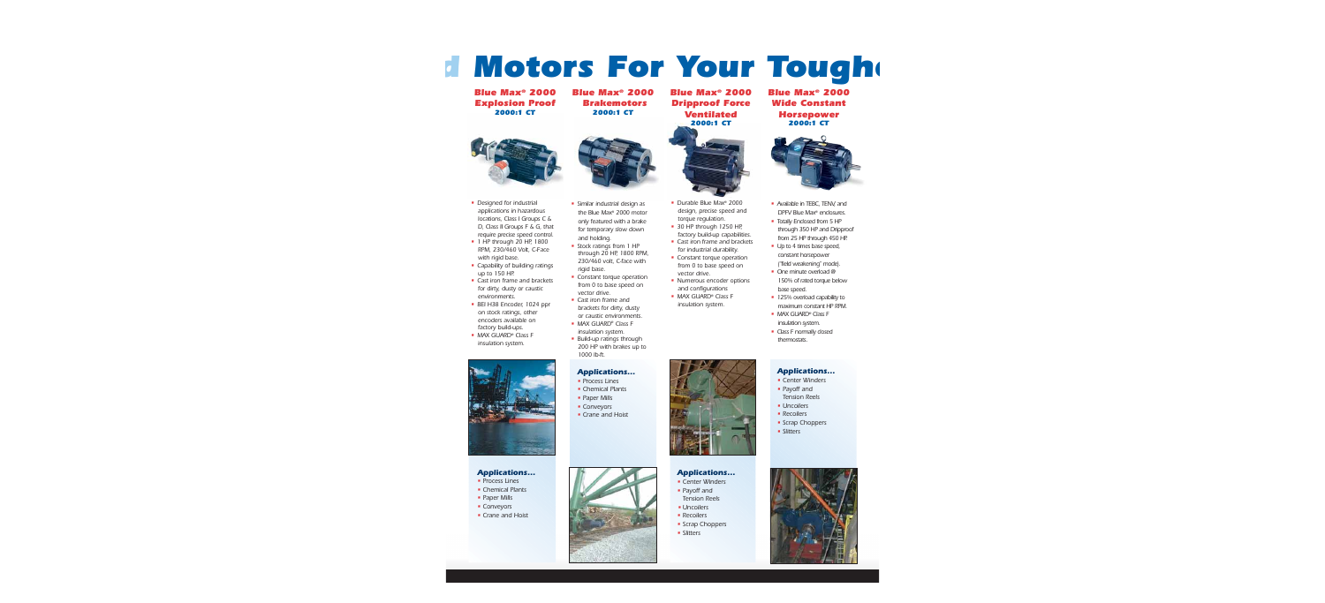## *d Motors For Your Toughe*

*Blue Max® 2000 Explosion Proof 2000:1 CT*

*Blue Max® 2000 Brakemotors 2000:1 CT*



- Designed for industrial applications in hazardous locations, Class I Groups C & D, Class II Groups F & G, that require precise speed control.
- 1 HP through 20 HP, 1800 RPM, 230/460 Volt, C-Face with rigid base.
- Capability of building ratings up to 150 HP.
- Cast iron frame and brackets for dirty, dusty or caustic environments.
- BEI H38 Encoder, 1024 ppr on stock ratings, other encoders available on factory build-ups.
- MAX GUARD® Class F insulation system.



#### *Applications...*

- **Process Lines**
- Chemical Plants
- Paper Mills
- **Conveyors**
- Crane and Hoist



- Similar industrial design as the Blue Max® 2000 motor only featured with a brake for temporary slow down and holding.
- Stock ratings from 1 HP through 20 HP, 1800 RPM, 230/460 volt, C-face with rigid base.
- Constant torque operation from 0 to base speed on vector drive.
- Cast iron frame and brackets for dirty, dusty or caustic environments.
- MAX GUARD® Class F insulation system.
- Build-up ratings through 200 HP with brakes up to 1000 lb-ft.

#### *Applications...*

- Process Lines
- Chemical Plants
- Paper Mills
- Conveyors
- Crane and Hoist



#### *Applications...*

- Center Winders • Payoff and
- Tension Reels
- Uncoilers
- Recoilers
- Scrap Choppers
- Slitters

*Blue Max® 2000 Wide Constant Horsepower 2000:1 CT*



- Available in TEBC, TENV, and DPFV Blue Max® enclosures.
- Totally Enclosed from 5 HP through 350 HP and Dripproof from 25 HP through 450 HP.
- Up to 4 times base speed, constant horsepower ("field weakening" mode).
- One minute overload @ 150% of rated torque below base speed.
- **125% overload capability to** maximum constant HP RPM.
- MAX GUARD® Class F insulation system.
- Class F normally closed thermostats

#### *Applications...*

- Center Winders
- Payoff and



*Ventilated*



- Durable Blue Max® 2000 design, precise speed and torque requlation.
- 30 HP through 1250 HP, factory build-up capabilities.
- Cast iron frame and brackets for industrial durability.
- Constant torque operation from 0 to base speed on vector drive.
- Numerous encoder options and configurations
- MAX GUARD<sup>®</sup> Class F insulation system.





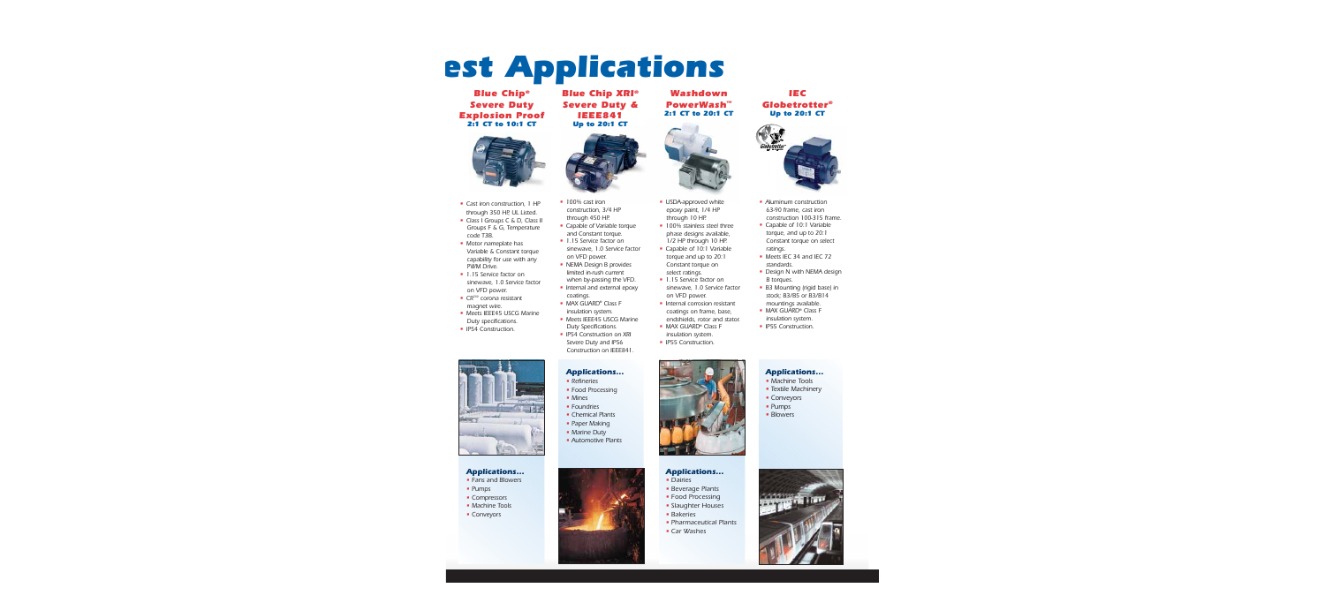# *est Applications*

#### *Blue Chip® Severe Duty Explosion Proof 2:1 CT to 10:1 CT*



- Cast iron construction, 1 HP through 350 HP, UL Listed.
- Class I Groups C & D, Class II Groups F & G, Temperature code T3B.
- Motor nameplate has Variable & Constant torque capability for use with any PWM Drive.
- **1.15 Service factor on** sinewave, 1.0 Service factor on VFD power.
- **CR<sup>200</sup> corona resistant** magnet wire.
- Meets IEEE45 USCG Marine Duty specifications.
- **IP54 Construction.**



#### *Applications...*

- Fans and Blowers
- Pumps
- Compressors
- Machine Tools
- Conveyors

*Blue Chip XRI® Severe Duty & IEEE841 Up to 20:1 CT*



- **·** 100% cast iron construction, 3/4 HP through 450 HP.
- Capable of Variable torque and Constant torque.
- **1.15 Service factor on** sinewave, 1.0 Service factor on VFD power.
- NEMA Design B provides limited in-rush current when by-passing the VFD.
- Internal and external epoxy coatings.
- MAX GUARD® Class F insulation system.
- Meets IEEE45 USCG Marine Duty Specifications.
- IP54 Construction on XRI Severe Duty and IP56 Construction on IEEE841.

### *Applications...*

- Refineries
- Food Processing
- Mines
- Foundries
- Chemical Plants
- Paper Making
- Marine Duty
- **Automotive Plants**



#### *Washdown PowerWash™ 2:1 CT to 20:1 CT*



- USDA-approved white epoxy paint, 1/4 HP through 10 HP.
- **100% stainless steel three** phase designs available, 1/2 HP through 10 HP.
- Capable of 10:1 Variable torque and up to 20:1 Constant torque on select ratings.
- 1.15 Service factor on sinewave, 1.0 Service factor on VFD power.
- Internal corrosion resistant coatings on frame, base, endshields, rotor and stator.
- MAX GUARD® Class F insulation system.
- **IP55 Construction.**



#### *Applications...*

- Dairies
- **Beverage Plants**
- Food Processing
- Slaughter Houses • Bakeries
- 
- Pharmaceutical Plants
- Car Washes

#### *IEC Globetrotter® Up to 20:1 CT*



- Aluminum construction 63-90 frame, cast iron construction 100-315 frame.
- Capable of 10:1 Variable torque, and up to 20:1 Constant torque on select ratings.
- Meets IEC 34 and IEC 72 standards.
- Design N with NEMA design B torques.
- B3 Mounting (rigid base) in stock; B3/B5 or B3/B14 mountings available.
- MAX GUARD® Class F insulation system.
- **IP55 Construction.**

#### *Applications...*

- Machine Tools
- Textile Machinery
- Conveyors
- Pumps
- Blowers